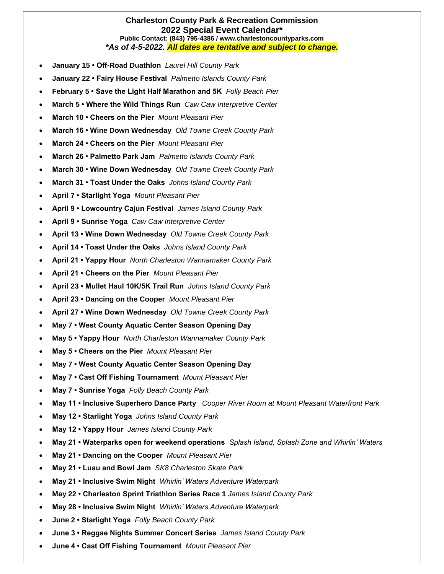## **Charleston County Park & Recreation Commission 2022 Special Event Calendar\* Public Contact: (843) 795-4386 / www.charlestoncountyparks.com** *\*As of 4-5-2022. All dates are tentative and subject to change.*

- **January 15 Off-Road Duathlon** *Laurel Hill County Park*
- **January 22 Fairy House Festival** *Palmetto Islands County Park*
- **February 5 Save the Light Half Marathon and 5K** *Folly Beach Pier*
- **March 5 Where the Wild Things Run** *Caw Caw Interpretive Center*
- **March 10 Cheers on the Pier** *Mount Pleasant Pier*
- **March 16 Wine Down Wednesday** *Old Towne Creek County Park*
- **March 24 Cheers on the Pier** *Mount Pleasant Pier*
- **March 26 Palmetto Park Jam** *Palmetto Islands County Park*
- **March 30 Wine Down Wednesday** *Old Towne Creek County Park*
- **March 31 Toast Under the Oaks** *Johns Island County Park*
- **April 7 Starlight Yoga** *Mount Pleasant Pier*
- **April 9 Lowcountry Cajun Festival** *James Island County Park*
- **April 9 Sunrise Yoga** *Caw Caw Interpretive Center*
- **April 13 Wine Down Wednesday** *Old Towne Creek County Park*
- **April 14 Toast Under the Oaks** *Johns Island County Park*
- **April 21 Yappy Hour** *North Charleston Wannamaker County Park*
- **April 21 Cheers on the Pier** *Mount Pleasant Pier*
- **April 23 Mullet Haul 10K/5K Trail Run** *Johns Island County Park*
- **April 23 • Dancing on the Cooper** *Mount Pleasant Pier*
- **April 27 Wine Down Wednesday** *Old Towne Creek County Park*
- **May 7 West County Aquatic Center Season Opening Day**
- **May 5 Yappy Hour** *North Charleston Wannamaker County Park*
- **May 5 Cheers on the Pier** *Mount Pleasant Pier*
- **May 7 West County Aquatic Center Season Opening Day**
- **May 7 Cast Off Fishing Tournament** *Mount Pleasant Pier*
- **May 7 Sunrise Yoga** *Folly Beach County Park*
- **May 11 Inclusive Superhero Dance Party** *Cooper River Room at Mount Pleasant Waterfront Park*
- **May 12 Starlight Yoga** *Johns Island County Park*
- **May 12 Yappy Hour** *James Island County Park*
- **May 21 Waterparks open for weekend operations** *Splash Island, Splash Zone and Whirlin' Waters*
- **May 21 Dancing on the Cooper** *Mount Pleasant Pier*
- **May 21 Luau and Bowl Jam** *SK8 Charleston Skate Park*
- **May 21 Inclusive Swim Night** *Whirlin' Waters Adventure Waterpark*
- **May 22 Charleston Sprint Triathlon Series Race 1** *James Island County Park*
- **May 28 Inclusive Swim Night** *Whirlin' Waters Adventure Waterpark*
- **June 2 Starlight Yoga** *Folly Beach County Park*
- **June 3 Reggae Nights Summer Concert Series** *James Island County Park*
- **June 4 Cast Off Fishing Tournament** *Mount Pleasant Pier*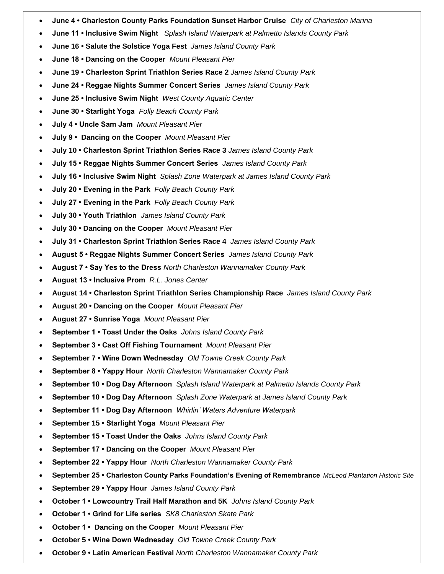- **June 4 Charleston County Parks Foundation Sunset Harbor Cruise** *City of Charleston Marina*
- **June 11 Inclusive Swim Night** *Splash Island Waterpark at Palmetto Islands County Park*
- **June 16 Salute the Solstice Yoga Fest** *James Island County Park*
- **June 18 Dancing on the Cooper** *Mount Pleasant Pier*
- **June 19 Charleston Sprint Triathlon Series Race 2** *James Island County Park*
- **June 24 Reggae Nights Summer Concert Series** *James Island County Park*
- **June 25 Inclusive Swim Night** *West County Aquatic Center*
- **June 30 Starlight Yoga** *Folly Beach County Park*
- **July 4 Uncle Sam Jam** *Mount Pleasant Pier*
- **July 9 Dancing on the Cooper** *Mount Pleasant Pier*
- **July 10 Charleston Sprint Triathlon Series Race 3** *James Island County Park*
- **July 15 Reggae Nights Summer Concert Series** *James Island County Park*
- **July 16 Inclusive Swim Night** *Splash Zone Waterpark at James Island County Park*
- **July 20 Evening in the Park** *Folly Beach County Park*
- **July 27 Evening in the Park** *Folly Beach County Park*
- **July 30 Youth Triathlon** *James Island County Park*
- **July 30 Dancing on the Cooper** *Mount Pleasant Pier*
- **July 31 Charleston Sprint Triathlon Series Race 4** *James Island County Park*
- **August 5 Reggae Nights Summer Concert Series** *James Island County Park*
- **August 7 Say Yes to the Dress** *North Charleston Wannamaker County Park*
- **August 13 Inclusive Prom** *R.L. Jones Center*
- **August 14 Charleston Sprint Triathlon Series Championship Race** *James Island County Park*
- **August 20 Dancing on the Cooper** *Mount Pleasant Pier*
- **August 27 Sunrise Yoga** *Mount Pleasant Pier*
- **September 1 Toast Under the Oaks** *Johns Island County Park*
- **September 3 Cast Off Fishing Tournament** *Mount Pleasant Pier*
- **September 7 Wine Down Wednesday** *Old Towne Creek County Park*
- **September 8 Yappy Hour** *North Charleston Wannamaker County Park*
- **September 10 Dog Day Afternoon** *Splash Island Waterpark at Palmetto Islands County Park*
- **September 10 Dog Day Afternoon** *Splash Zone Waterpark at James Island County Park*
- **September 11 Dog Day Afternoon** *Whirlin' Waters Adventure Waterpark*
- **September 15 Starlight Yoga** *Mount Pleasant Pier*
- **September 15 Toast Under the Oaks** *Johns Island County Park*
- **September 17 Dancing on the Cooper** *Mount Pleasant Pier*
- **September 22 Yappy Hour** *North Charleston Wannamaker County Park*
- **September 25 Charleston County Parks Foundation's Evening of Remembrance** *McLeod Plantation Historic Site*
- **September 29 Yappy Hour** *James Island County Park*
- **October 1 Lowcountry Trail Half Marathon and 5K** *Johns Island County Park*
- **October 1 Grind for Life series** *SK8 Charleston Skate Park*
- **October 1 Dancing on the Cooper** *Mount Pleasant Pier*
- **October 5 Wine Down Wednesday** *Old Towne Creek County Park*
- **October 9 Latin American Festival** *North Charleston Wannamaker County Park*